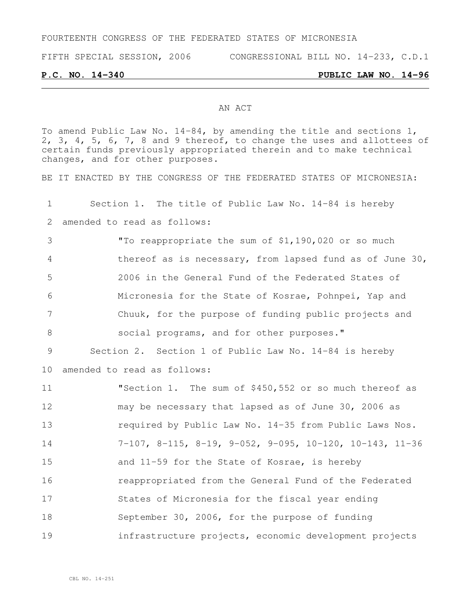FOURTEENTH CONGRESS OF THE FEDERATED STATES OF MICRONESIA

FIFTH SPECIAL SESSION, 2006 CONGRESSIONAL BILL NO. 14-233, C.D.1

**P.C. NO. 14-340 PUBLIC LAW NO. 14-96**

### AN ACT

To amend Public Law No. 14-84, by amending the title and sections 1, 2, 3, 4, 5, 6, 7, 8 and 9 thereof, to change the uses and allottees of certain funds previously appropriated therein and to make technical changes, and for other purposes.

BE IT ENACTED BY THE CONGRESS OF THE FEDERATED STATES OF MICRONESIA:

 Section 1. The title of Public Law No. 14-84 is hereby amended to read as follows: "To reappropriate the sum of \$1,190,020 or so much thereof as is necessary, from lapsed fund as of June 30, 2006 in the General Fund of the Federated States of Micronesia for the State of Kosrae, Pohnpei, Yap and Chuuk, for the purpose of funding public projects and 8 social programs, and for other purposes." Section 2. Section 1 of Public Law No. 14-84 is hereby amended to read as follows: "Section 1. The sum of \$450,552 or so much thereof as may be necessary that lapsed as of June 30, 2006 as required by Public Law No. 14-35 from Public Laws Nos. 7-107, 8-115, 8-19, 9-052, 9-095, 10-120, 10-143, 11-36 and 11-59 for the State of Kosrae, is hereby reappropriated from the General Fund of the Federated States of Micronesia for the fiscal year ending September 30, 2006, for the purpose of funding infrastructure projects, economic development projects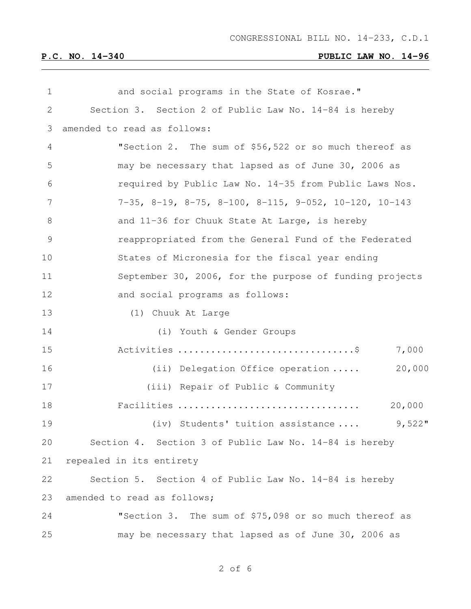| 1  | and social programs in the State of Kosrae."                                 |
|----|------------------------------------------------------------------------------|
| 2  | Section 3. Section 2 of Public Law No. 14-84 is hereby                       |
| 3  | amended to read as follows:                                                  |
| 4  | "Section 2. The sum of \$56,522 or so much thereof as                        |
| 5  | may be necessary that lapsed as of June 30, 2006 as                          |
| 6  | required by Public Law No. 14-35 from Public Laws Nos.                       |
| 7  | $7-35$ , $8-19$ , $8-75$ , $8-100$ , $8-115$ , $9-052$ , $10-120$ , $10-143$ |
| 8  | and 11-36 for Chuuk State At Large, is hereby                                |
| 9  | reappropriated from the General Fund of the Federated                        |
| 10 | States of Micronesia for the fiscal year ending                              |
| 11 | September 30, 2006, for the purpose of funding projects                      |
| 12 | and social programs as follows:                                              |
| 13 | (1) Chuuk At Large                                                           |
| 14 | (i) Youth & Gender Groups                                                    |
| 15 | 7,000                                                                        |
| 16 | 20,000<br>(ii) Delegation Office operation                                   |
| 17 | (iii) Repair of Public & Community                                           |
| 18 | 20,000<br>Facilities                                                         |
| 19 | $9,522$ "<br>(iv) Students' tuition assistance                               |
| 20 | Section 4. Section 3 of Public Law No. 14-84 is hereby                       |
| 21 | repealed in its entirety                                                     |
| 22 | Section 5. Section 4 of Public Law No. 14-84 is hereby                       |
| 23 | amended to read as follows;                                                  |
| 24 | "Section 3. The sum of \$75,098 or so much thereof as                        |
| 25 | may be necessary that lapsed as of June 30, 2006 as                          |

of 6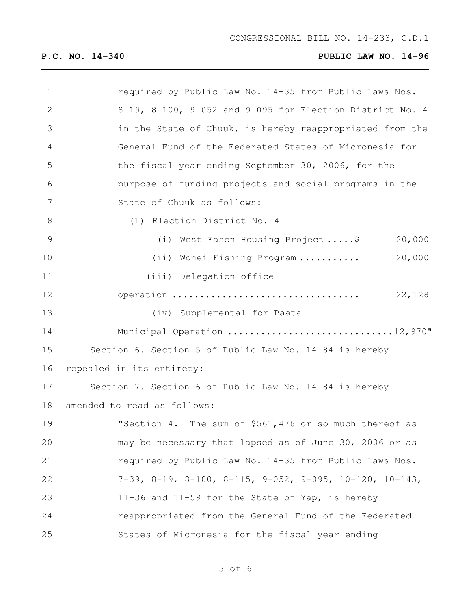| $\mathbf 1$ | required by Public Law No. 14-35 from Public Laws Nos.                          |
|-------------|---------------------------------------------------------------------------------|
| 2           | 8-19, 8-100, 9-052 and 9-095 for Election District No. 4                        |
| 3           | in the State of Chuuk, is hereby reappropriated from the                        |
| 4           | General Fund of the Federated States of Micronesia for                          |
| 5           | the fiscal year ending September 30, 2006, for the                              |
| 6           | purpose of funding projects and social programs in the                          |
| 7           | State of Chuuk as follows:                                                      |
| 8           | (1) Election District No. 4                                                     |
| 9           | 20,000<br>(i) West Fason Housing Project\$                                      |
| 10          | 20,000<br>(ii) Wonei Fishing Program                                            |
| 11          | (iii) Delegation office                                                         |
| 12          | operation<br>22,128                                                             |
| 13          | (iv) Supplemental for Paata                                                     |
| 14          | Municipal Operation 12,970"                                                     |
| 15          | Section 6. Section 5 of Public Law No. 14-84 is hereby                          |
| 16          | repealed in its entirety:                                                       |
| 17          | Section 7. Section 6 of Public Law No. 14-84 is hereby                          |
| 18          | amended to read as follows:                                                     |
| 19          | "Section 4. The sum of \$561,476 or so much thereof as                          |
| 20          | may be necessary that lapsed as of June 30, 2006 or as                          |
| 21          | required by Public Law No. 14-35 from Public Laws Nos.                          |
| 22          | $7-39$ , $8-19$ , $8-100$ , $8-115$ , $9-052$ , $9-095$ , $10-120$ , $10-143$ , |
| 23          | 11-36 and 11-59 for the State of Yap, is hereby                                 |
| 24          | reappropriated from the General Fund of the Federated                           |
| 25          | States of Micronesia for the fiscal year ending                                 |

of 6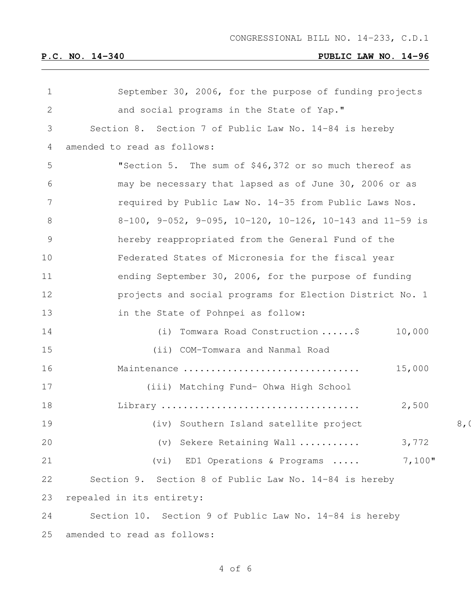| $\mathbf 1$   | September 30, 2006, for the purpose of funding projects  |                |
|---------------|----------------------------------------------------------|----------------|
| $\mathbf{2}$  | and social programs in the State of Yap."                |                |
| 3             | Section 8. Section 7 of Public Law No. 14-84 is hereby   |                |
| 4             | amended to read as follows:                              |                |
| 5             | "Section 5. The sum of \$46,372 or so much thereof as    |                |
| 6             | may be necessary that lapsed as of June 30, 2006 or as   |                |
| 7             | required by Public Law No. 14-35 from Public Laws Nos.   |                |
| 8             | 8-100, 9-052, 9-095, 10-120, 10-126, 10-143 and 11-59 is |                |
| $\mathcal{G}$ | hereby reappropriated from the General Fund of the       |                |
| 10            | Federated States of Micronesia for the fiscal year       |                |
| 11            | ending September 30, 2006, for the purpose of funding    |                |
| 12            | projects and social programs for Election District No. 1 |                |
| 13            | in the State of Pohnpei as follow:                       |                |
| 14            | Tomwara Road Construction \$<br>10,000<br>(i)            |                |
| 15            | (ii) COM-Tomwara and Nanmal Road                         |                |
| 16            | 15,000<br>Maintenance                                    |                |
| 17            | (iii) Matching Fund- Ohwa High School                    |                |
| 18            | 2,500                                                    |                |
| 19            | (iv) Southern Island satellite project                   | 8 <sub>1</sub> |
| 20            | (v) Sekere Retaining Wall<br>3,772                       |                |
| 21            | 7,100"<br>(vi) ED1 Operations & Programs                 |                |
| 22            | Section 9. Section 8 of Public Law No. 14-84 is hereby   |                |
| 23            | repealed in its entirety:                                |                |
| 24            | Section 10. Section 9 of Public Law No. 14-84 is hereby  |                |
| 25            | amended to read as follows:                              |                |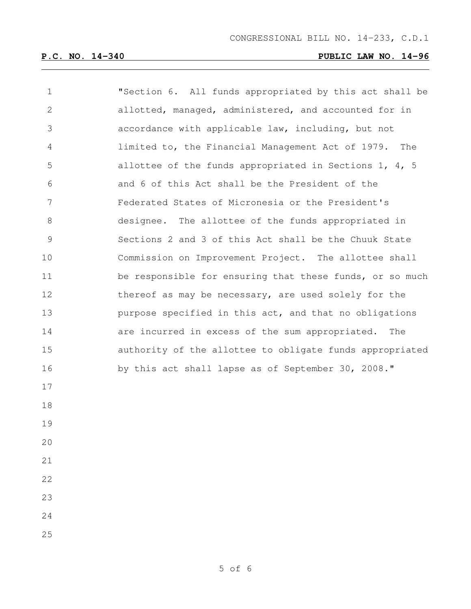| $\mathbf 1$    | "Section 6. All funds appropriated by this act shall be  |
|----------------|----------------------------------------------------------|
| $\mathbf{2}$   | allotted, managed, administered, and accounted for in    |
| 3              | accordance with applicable law, including, but not       |
| 4              | limited to, the Financial Management Act of 1979.<br>The |
| 5              | allottee of the funds appropriated in Sections 1, 4, 5   |
| 6              | and 6 of this Act shall be the President of the          |
| $7\phantom{.}$ | Federated States of Micronesia or the President's        |
| 8              | designee. The allottee of the funds appropriated in      |
| $\mathcal{G}$  | Sections 2 and 3 of this Act shall be the Chuuk State    |
| 10             | Commission on Improvement Project. The allottee shall    |
| 11             | be responsible for ensuring that these funds, or so much |
| 12             | thereof as may be necessary, are used solely for the     |
| 13             | purpose specified in this act, and that no obligations   |
| 14             | are incurred in excess of the sum appropriated. The      |
| 15             | authority of the allottee to obligate funds appropriated |
| 16             | by this act shall lapse as of September 30, 2008."       |
| 17             |                                                          |
| 18             |                                                          |
| 19             |                                                          |
| 20             |                                                          |
| 21             |                                                          |
| 22             |                                                          |
| 23             |                                                          |
| 24             |                                                          |
| 25             |                                                          |